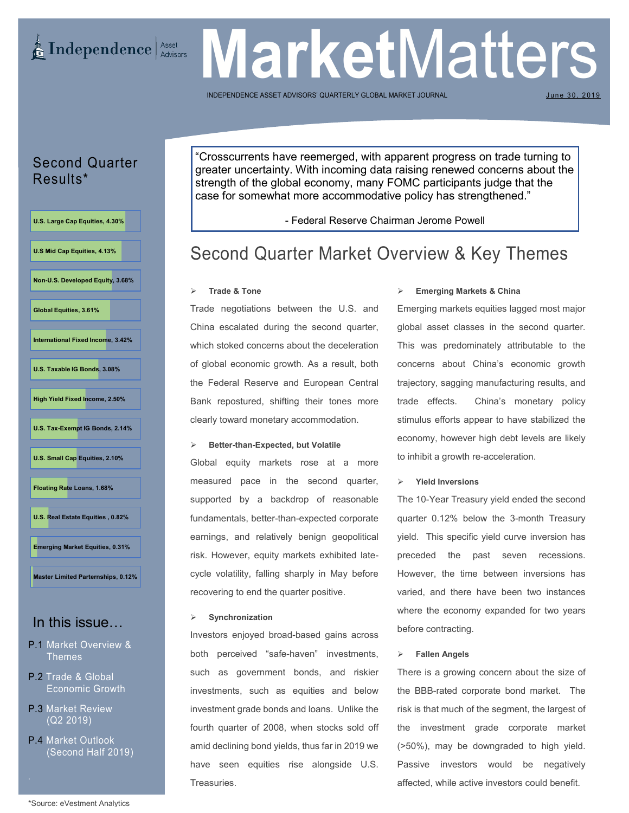## **E** Independence Asset Advisors

# **Market** Matters

INDEPENDENCE ASSET ADVISORS' QUARTERLY GLOBAL MARKET

June 30, 2019

## Second Quarter Results\*

**U.S. Large Cap Equities, 4.30% U.S Mid Cap Equities, 4.13% Non-U.S. Developed Equity, 3.68% Global Equities, 3.61% International Fixed Income, 3.42% U.S. Taxable IG Bonds, 3.08% High Yield Fixed Income, 2.50% U.S. Tax-Exempt IG Bonds, 2.14% U.S. Small Cap Equities, 2.10% Floating Rate Loans, 1.68% U.S. Real Estate Equities , 0.82% Emerging Market Equities, 0.31% Master Limited Parternships, 0.12%**

# In this issue…

- P.1 Market Overview & Themes
- P.2 Trade & Global Economic Growth
- P.3 Market Review (Q2 2019)
- P.4 Market Outlook (Second Half 2019)

"Crosscurrents have reemerged, with apparent progress on trade turning to greater uncertainty. With incoming data raising renewed concerns about the strength of the global economy, many FOMC participants judge that the case for somewhat more accommodative policy has strengthened."

- Federal Reserve Chairman Jerome Powell

# Second Quarter Market Overview & Key Themes

#### **Trade & Tone**

Trade negotiations between the U.S. and China escalated during the second quarter, which stoked concerns about the deceleration of global economic growth. As a result, both the Federal Reserve and European Central Bank repostured, shifting their tones more clearly toward monetary accommodation.

#### **Better-than-Expected, but Volatile**

Global equity markets rose at a more measured pace in the second quarter, supported by a backdrop of reasonable fundamentals, better-than-expected corporate earnings, and relatively benign geopolitical risk. However, equity markets exhibited latecycle volatility, falling sharply in May before recovering to end the quarter positive.

#### **Synchronization**

Investors enjoyed broad-based gains across both perceived "safe-haven" investments, such as government bonds, and riskier investments, such as equities and below investment grade bonds and loans. Unlike the fourth quarter of 2008, when stocks sold off amid declining bond yields, thus far in 2019 we have seen equities rise alongside U.S. Treasuries.

#### **Emerging Markets & China**

Emerging markets equities lagged most major global asset classes in the second quarter. This was predominately attributable to the concerns about China's economic growth trajectory, sagging manufacturing results, and trade effects. China's monetary policy stimulus efforts appear to have stabilized the economy, however high debt levels are likely to inhibit a growth re-acceleration.

#### **Yield Inversions**

The 10-Year Treasury yield ended the second quarter 0.12% below the 3-month Treasury yield. This specific yield curve inversion has preceded the past seven recessions. However, the time between inversions has varied, and there have been two instances where the economy expanded for two years before contracting.

#### **Fallen Angels**

There is a growing concern about the size of the BBB-rated corporate bond market. The risk is that much of the segment, the largest of the investment grade corporate market (>50%), may be downgraded to high yield. Passive investors would be negatively affected, while active investors could benefit.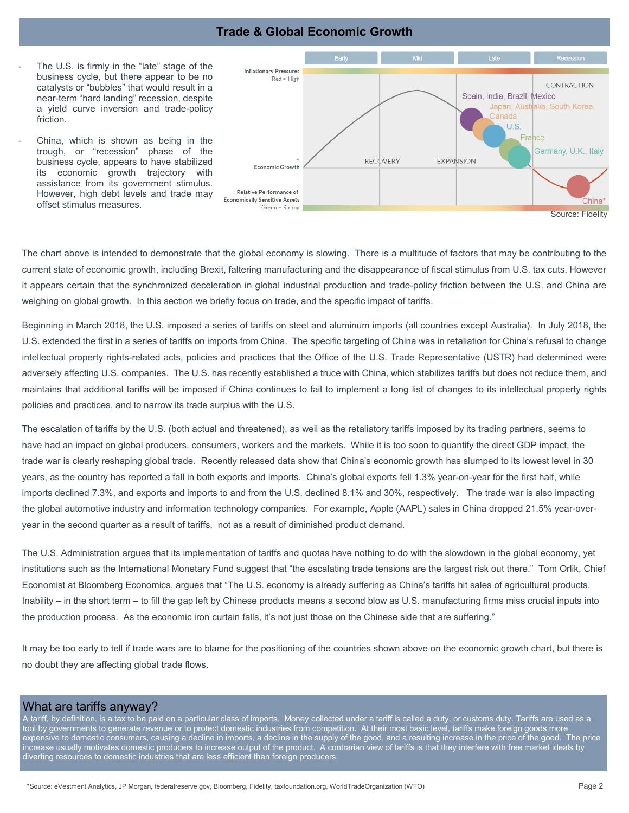### **Trade & Global Economic Growth**

- The U.S. is firmly in the "late" stage of the business cycle, but there appear to be no catalysts or "bubbles" that would result in a near-term "hard landing" recession, despite a yield curve inversion and trade-policy friction.
- China, which is shown as being in the trough, or "recession" phase of the business cycle, appears to have stabilized its economic growth trajectory with assistance from its government stimulus. However, high debt levels and trade may offset stimulus measures.



The chart above is intended to demonstrate that the global economy is slowing. There is a multitude of factors that may be contributing to the current state of economic growth, including Brexit, faltering manufacturing and the disappearance of fiscal stimulus from U.S. tax cuts. However it appears certain that the synchronized deceleration in global industrial production and trade-policy friction between the U.S. and China are weighing on global growth. In this section we briefly focus on trade, and the specific impact of tariffs.

Beginning in March 2018, the U.S. imposed a series of tariffs on steel and aluminum imports (all countries except Australia). In July 2018, the U.S. extended the first in a series of tariffs on imports from China. The specific targeting of China was in retaliation for China's refusal to change intellectual property rights-related acts, policies and practices that the Office of the U.S. Trade Representative (USTR) had determined were adversely affecting U.S. companies. The U.S. has recently established a truce with China, which stabilizes tariffs but does not reduce them, and maintains that additional tariffs will be imposed if China continues to fail to implement a long list of changes to its intellectual property rights policies and practices, and to narrow its trade surplus with the U.S.

The escalation of tariffs by the U.S. (both actual and threatened), as well as the retaliatory tariffs imposed by its trading partners, seems to have had an impact on global producers, consumers, workers and the markets. While it is too soon to quantify the direct GDP impact, the trade war is clearly reshaping global trade. Recently released data show that China's economic growth has slumped to its lowest level in 30 years, as the country has reported a fall in both exports and imports. China's global exports fell 1.3% year-on-year for the first half, while imports declined 7.3%, and exports and imports to and from the U.S. declined 8.1% and 30%, respectively. The trade war is also impacting the global automotive industry and information technology companies. For example, Apple (AAPL) sales in China dropped 21.5% year-overyear in the second quarter as a result of tariffs, not as a result of diminished product demand.

The U.S. Administration argues that its implementation of tariffs and quotas have nothing to do with the slowdown in the global economy, yet institutions such as the International Monetary Fund suggest that "the escalating trade tensions are the largest risk out there." Tom Orlik, Chief Economist at Bloomberg Economics, argues that "The U.S. economy is already suffering as China's tariffs hit sales of agricultural products. Inability – in the short term – to fill the gap left by Chinese products means a second blow as U.S. manufacturing firms miss crucial inputs into the production process. As the economic iron curtain falls, it's not just those on the Chinese side that are suffering."

It may be too early to tell if trade wars are to blame for the positioning of the countries shown above on the economic growth chart, but there is no doubt they are affecting global trade flows.

#### What are tariffs anyway?

A tariff, by definition, is a tax to be paid on a particular class of imports. Money collected under a tariff is called a duty, or customs duty. Tariffs are used as a tool by governments to generate revenue or to protect domestic industries from competition. At their most basic level, tariffs make foreign goods more expensive to domestic consumers, causing a decline in imports, a decline in the supply of the good, and a resulting increase in the price of the good. The price increase usually motivates domestic producers to increase output of the product. A contrarian view of tariffs is that they interfere with free market ideals by diverting resources to domestic industries that are less efficient than foreign producers.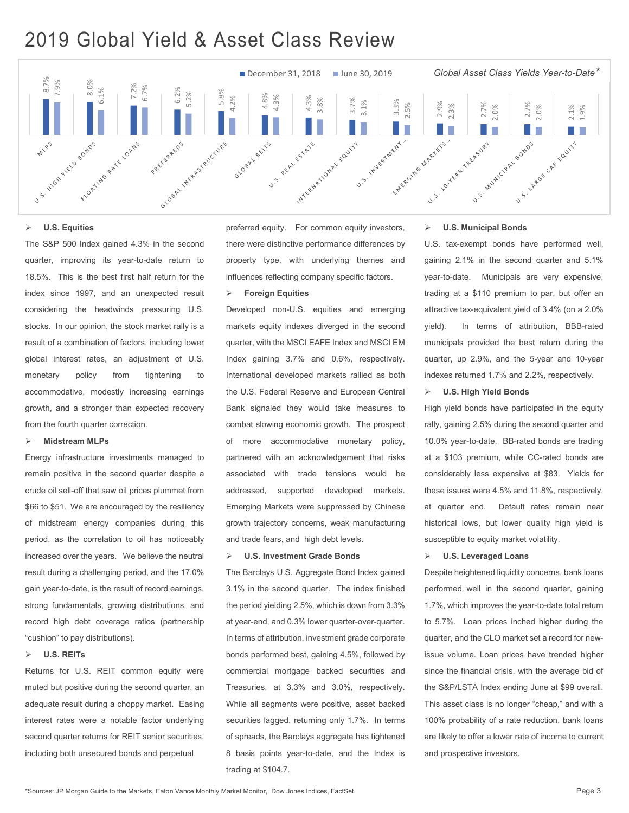# 2019 Global Yield & Asset Class Review



#### **U.S. Equities**

The S&P 500 Index gained 4.3% in the second quarter, improving its year-to-date return to 18.5%. This is the best first half return for the index since 1997, and an unexpected result considering the headwinds pressuring U.S. stocks. In our opinion, the stock market rally is a result of a combination of factors, including lower global interest rates, an adjustment of U.S. monetary policy from tightening to accommodative, modestly increasing earnings growth, and a stronger than expected recovery from the fourth quarter correction.

#### **Midstream MLPs**

Energy infrastructure investments managed to remain positive in the second quarter despite a crude oil sell-off that saw oil prices plummet from \$66 to \$51. We are encouraged by the resiliency of midstream energy companies during this period, as the correlation to oil has noticeably increased over the years. We believe the neutral result during a challenging period, and the 17.0% gain year-to-date, is the result of record earnings, strong fundamentals, growing distributions, and record high debt coverage ratios (partnership "cushion" to pay distributions).

#### **U.S. REITs**

Returns for U.S. REIT common equity were muted but positive during the second quarter, an adequate result during a choppy market. Easing interest rates were a notable factor underlying second quarter returns for REIT senior securities, including both unsecured bonds and perpetual

preferred equity. For common equity investors, there were distinctive performance differences by property type, with underlying themes and influences reflecting company specific factors.

#### **Foreign Equities**

Developed non-U.S. equities and emerging markets equity indexes diverged in the second quarter, with the MSCI EAFE Index and MSCI EM Index gaining 3.7% and 0.6%, respectively. International developed markets rallied as both the U.S. Federal Reserve and European Central Bank signaled they would take measures to combat slowing economic growth. The prospect of more accommodative monetary policy, partnered with an acknowledgement that risks associated with trade tensions would be addressed, supported developed markets. Emerging Markets were suppressed by Chinese growth trajectory concerns, weak manufacturing and trade fears, and high debt levels.

#### **U.S. Investment Grade Bonds**

The Barclays U.S. Aggregate Bond Index gained 3.1% in the second quarter. The index finished the period yielding 2.5%, which is down from 3.3% at year-end, and 0.3% lower quarter-over-quarter. In terms of attribution, investment grade corporate bonds performed best, gaining 4.5%, followed by commercial mortgage backed securities and Treasuries, at 3.3% and 3.0%, respectively. While all segments were positive, asset backed securities lagged, returning only 1.7%. In terms of spreads, the Barclays aggregate has tightened 8 basis points year-to-date, and the Index is trading at \$104.7.

#### **U.S. Municipal Bonds**

U.S. tax-exempt bonds have performed well, gaining 2.1% in the second quarter and 5.1% year-to-date. Municipals are very expensive, trading at a \$110 premium to par, but offer an attractive tax-equivalent yield of 3.4% (on a 2.0% yield). In terms of attribution, BBB-rated municipals provided the best return during the quarter, up 2.9%, and the 5-year and 10-year indexes returned 1.7% and 2.2%, respectively.

#### **U.S. High Yield Bonds**

High yield bonds have participated in the equity rally, gaining 2.5% during the second quarter and 10.0% year-to-date. BB-rated bonds are trading at a \$103 premium, while CC-rated bonds are considerably less expensive at \$83. Yields for these issues were 4.5% and 11.8%, respectively, at quarter end. Default rates remain near historical lows, but lower quality high yield is susceptible to equity market volatility.

#### **U.S. Leveraged Loans**

Despite heightened liquidity concerns, bank loans performed well in the second quarter, gaining 1.7%, which improves the year-to-date total return to 5.7%. Loan prices inched higher during the quarter, and the CLO market set a record for newissue volume. Loan prices have trended higher since the financial crisis, with the average bid of the S&P/LSTA Index ending June at \$99 overall. This asset class is no longer "cheap," and with a 100% probability of a rate reduction, bank loans are likely to offer a lower rate of income to current and prospective investors.